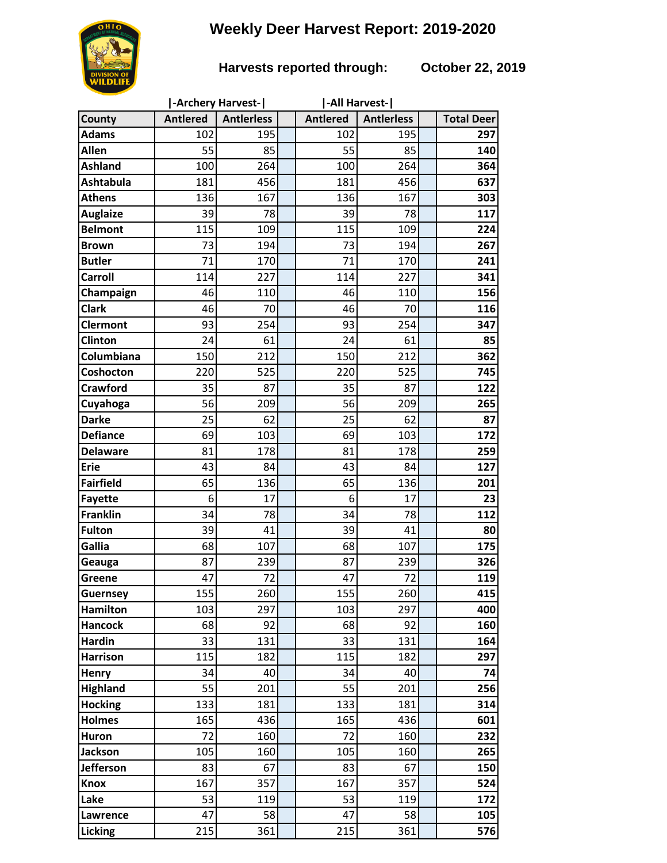# **Weekly Deer Harvest Report: 2019-2020**

### **Harvests reported through: October 22, 2019**

|                  | -Archery Harvest- |                   |  | -All Harvest-   |                   |                   |
|------------------|-------------------|-------------------|--|-----------------|-------------------|-------------------|
| County           | <b>Antlered</b>   | <b>Antlerless</b> |  | <b>Antlered</b> | <b>Antlerless</b> | <b>Total Deer</b> |
| <b>Adams</b>     | 102               | 195               |  | 102             | 195               | 297               |
| <b>Allen</b>     | 55                | 85                |  | 55              | 85                | 140               |
| <b>Ashland</b>   | 100               | 264               |  | 100             | 264               | 364               |
| <b>Ashtabula</b> | 181               | 456               |  | 181             | 456               | 637               |
| <b>Athens</b>    | 136               | 167               |  | 136             | 167               | 303               |
| <b>Auglaize</b>  | 39                | 78                |  | 39              | 78                | 117               |
| <b>Belmont</b>   | 115               | 109               |  | 115             | 109               | 224               |
| <b>Brown</b>     | 73                | 194               |  | 73              | 194               | 267               |
| <b>Butler</b>    | 71                | 170               |  | 71              | 170               | 241               |
| <b>Carroll</b>   | 114               | 227               |  | 114             | 227               | 341               |
| Champaign        | 46                | 110               |  | 46              | 110               | 156               |
| <b>Clark</b>     | 46                | 70                |  | 46              | 70                | 116               |
| Clermont         | 93                | 254               |  | 93              | 254               | 347               |
| <b>Clinton</b>   | 24                | 61                |  | 24              | 61                | 85                |
| Columbiana       | 150               | 212               |  | 150             | 212               | 362               |
| Coshocton        | 220               | 525               |  | 220             | 525               | 745               |
| <b>Crawford</b>  | 35                | 87                |  | 35              | 87                | 122               |
| Cuyahoga         | 56                | 209               |  | 56              | 209               | 265               |
| <b>Darke</b>     | 25                | 62                |  | 25              | 62                | 87                |
| <b>Defiance</b>  | 69                | 103               |  | 69              | 103               | 172               |
| <b>Delaware</b>  | 81                | 178               |  | 81              | 178               | 259               |
| <b>Erie</b>      | 43                | 84                |  | 43              | 84                | 127               |
| <b>Fairfield</b> | 65                | 136               |  | 65              | 136               | 201               |
| <b>Fayette</b>   | 6                 | 17                |  | 6               | 17                | 23                |
| <b>Franklin</b>  | 34                | 78                |  | 34              | 78                | 112               |
| <b>Fulton</b>    | 39                | 41                |  | 39              | 41                | 80                |
| Gallia           | 68                | 107               |  | 68              | 107               | 175               |
| Geauga           | 87                | 239               |  | 87              | 239               | 326               |
| Greene           | 47                | 72                |  | 47              | 72                | 119               |
| <b>Guernsey</b>  | 155               | 260               |  | 155             | 260               | 415               |
| <b>Hamilton</b>  | 103               | 297               |  | 103             | 297               | 400               |
| <b>Hancock</b>   | 68                | 92                |  | 68              | 92                | 160               |
| <b>Hardin</b>    | 33                | 131               |  | 33              | 131               | 164               |
| <b>Harrison</b>  | 115               | 182               |  | 115             | 182               | 297               |
| Henry            | 34                | 40                |  | 34              | 40                | 74                |
| <b>Highland</b>  | 55                | 201               |  | 55              | 201               | 256               |
| <b>Hocking</b>   | 133               | 181               |  | 133             | 181               | 314               |
| <b>Holmes</b>    | 165               | 436               |  | 165             | 436               | 601               |
| Huron            | 72                | 160               |  | 72              | 160               | 232               |
| <b>Jackson</b>   | 105               | 160               |  | 105             | 160               | 265               |
| <b>Jefferson</b> | 83                | 67                |  | 83              | 67                | 150               |
| <b>Knox</b>      | 167               | 357               |  | 167             | 357               | 524               |
| Lake             | 53                | 119               |  | 53              | 119               | 172               |
| Lawrence         | 47                | 58                |  | 47              | 58                | 105               |
| Licking          | 215               | 361               |  | 215             | 361               | 576               |